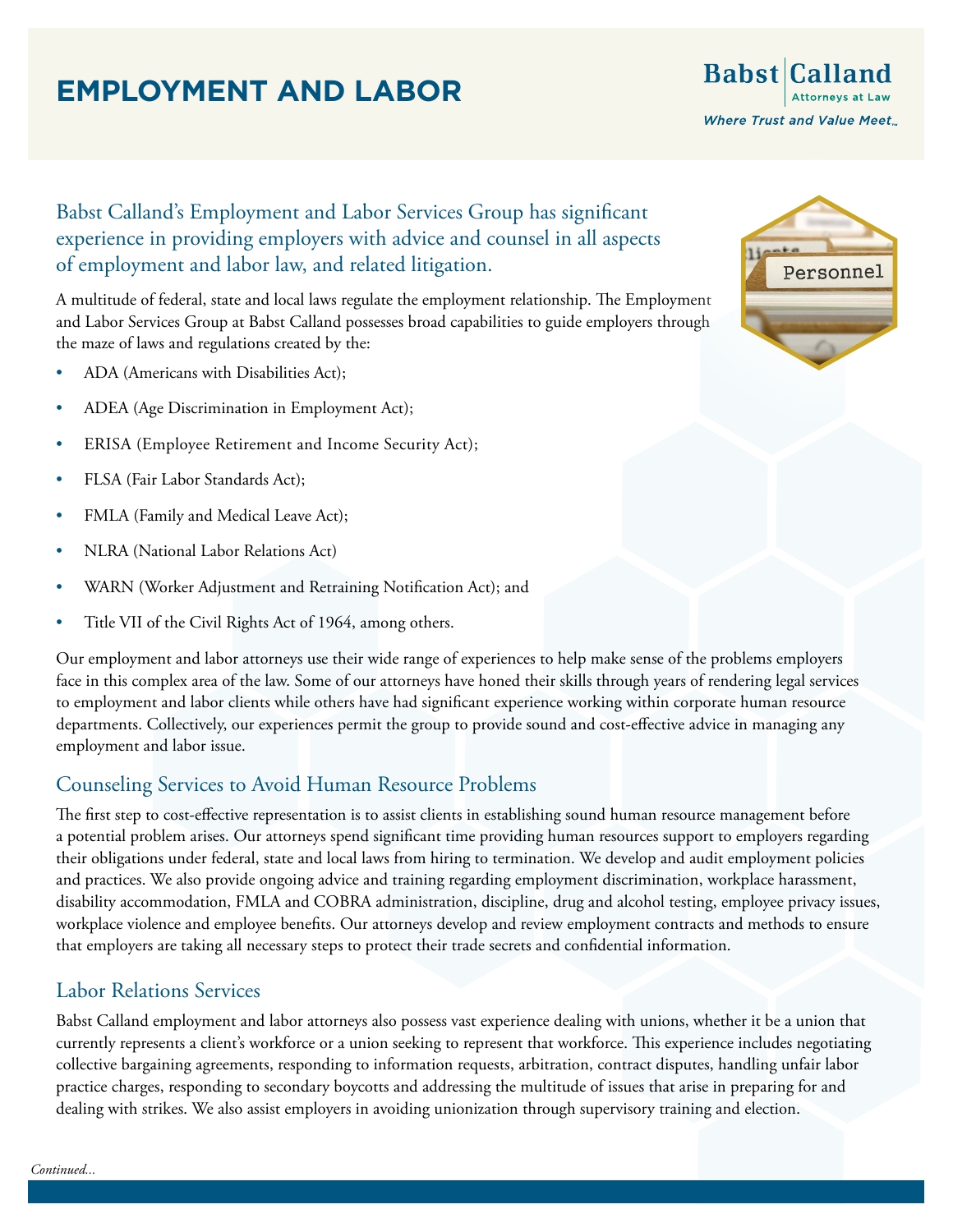# **EMPLOYMENT AND LABOR**

**Babst** Calland **Where Trust and Value Meet** 

### Babst Calland's Employment and Labor Services Group has significant experience in providing employers with advice and counsel in all aspects of employment and labor law, and related litigation.

A multitude of federal, state and local laws regulate the employment relationship. The Employment and Labor Services Group at Babst Calland possesses broad capabilities to guide employers through the maze of laws and regulations created by the:

- ADA (Americans with Disabilities Act);
- ADEA (Age Discrimination in Employment Act);
- ERISA (Employee Retirement and Income Security Act);
- FLSA (Fair Labor Standards Act);
- FMLA (Family and Medical Leave Act);
- NLRA (National Labor Relations Act)
- WARN (Worker Adjustment and Retraining Notification Act); and
- Title VII of the Civil Rights Act of 1964, among others.

Our employment and labor attorneys use their wide range of experiences to help make sense of the problems employers face in this complex area of the law. Some of our attorneys have honed their skills through years of rendering legal services to employment and labor clients while others have had significant experience working within corporate human resource departments. Collectively, our experiences permit the group to provide sound and cost-effective advice in managing any employment and labor issue.

### Counseling Services to Avoid Human Resource Problems

The first step to cost-effective representation is to assist clients in establishing sound human resource management before a potential problem arises. Our attorneys spend significant time providing human resources support to employers regarding their obligations under federal, state and local laws from hiring to termination. We develop and audit employment policies and practices. We also provide ongoing advice and training regarding employment discrimination, workplace harassment, disability accommodation, FMLA and COBRA administration, discipline, drug and alcohol testing, employee privacy issues, workplace violence and employee benefits. Our attorneys develop and review employment contracts and methods to ensure that employers are taking all necessary steps to protect their trade secrets and confidential information.

### Labor Relations Services

Babst Calland employment and labor attorneys also possess vast experience dealing with unions, whether it be a union that currently represents a client's workforce or a union seeking to represent that workforce. This experience includes negotiating collective bargaining agreements, responding to information requests, arbitration, contract disputes, handling unfair labor practice charges, responding to secondary boycotts and addressing the multitude of issues that arise in preparing for and dealing with strikes. We also assist employers in avoiding unionization through supervisory training and election.